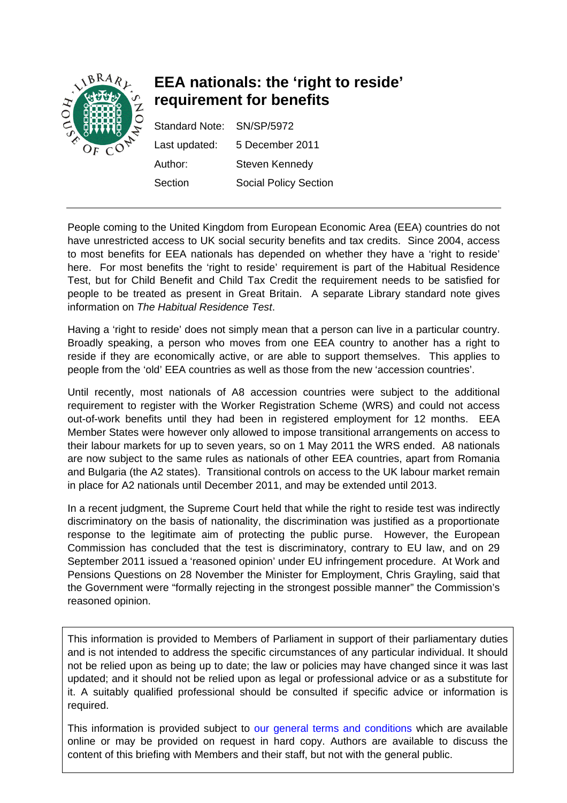

# **EEA nationals: the 'right to reside' requirement for benefits**

| Standard Note: SN/SP/5972 |                              |
|---------------------------|------------------------------|
| Last updated:             | 5 December 2011              |
| Author:                   | Steven Kennedy               |
| Section                   | <b>Social Policy Section</b> |

People coming to the United Kingdom from European Economic Area (EEA) countries do not have unrestricted access to UK social security benefits and tax credits. Since 2004, access to most benefits for EEA nationals has depended on whether they have a 'right to reside' here. For most benefits the 'right to reside' requirement is part of the Habitual Residence Test, but for Child Benefit and Child Tax Credit the requirement needs to be satisfied for people to be treated as present in Great Britain. A separate Library standard note gives information on *The Habitual Residence Test*.

Having a 'right to reside' does not simply mean that a person can live in a particular country. Broadly speaking, a person who moves from one EEA country to another has a right to reside if they are economically active, or are able to support themselves. This applies to people from the 'old' EEA countries as well as those from the new 'accession countries'.

Until recently, most nationals of A8 accession countries were subject to the additional requirement to register with the Worker Registration Scheme (WRS) and could not access out-of-work benefits until they had been in registered employment for 12 months. EEA Member States were however only allowed to impose transitional arrangements on access to their labour markets for up to seven years, so on 1 May 2011 the WRS ended. A8 nationals are now subject to the same rules as nationals of other EEA countries, apart from Romania and Bulgaria (the A2 states). Transitional controls on access to the UK labour market remain in place for A2 nationals until December 2011, and may be extended until 2013.

In a recent judgment, the Supreme Court held that while the right to reside test was indirectly discriminatory on the basis of nationality, the discrimination was justified as a proportionate response to the legitimate aim of protecting the public purse. However, the European Commission has concluded that the test is discriminatory, contrary to EU law, and on 29 September 2011 issued a 'reasoned opinion' under EU infringement procedure. At Work and Pensions Questions on 28 November the Minister for Employment, Chris Grayling, said that the Government were "formally rejecting in the strongest possible manner" the Commission's reasoned opinion.

This information is provided to Members of Parliament in support of their parliamentary duties and is not intended to address the specific circumstances of any particular individual. It should not be relied upon as being up to date; the law or policies may have changed since it was last updated; and it should not be relied upon as legal or professional advice or as a substitute for it. A suitably qualified professional should be consulted if specific advice or information is required.

This information is provided subject to [our general terms and conditions](http://www.parliament.uk/site_information/parliamentary_copyright.cfm) which are available online or may be provided on request in hard copy. Authors are available to discuss the content of this briefing with Members and their staff, but not with the general public.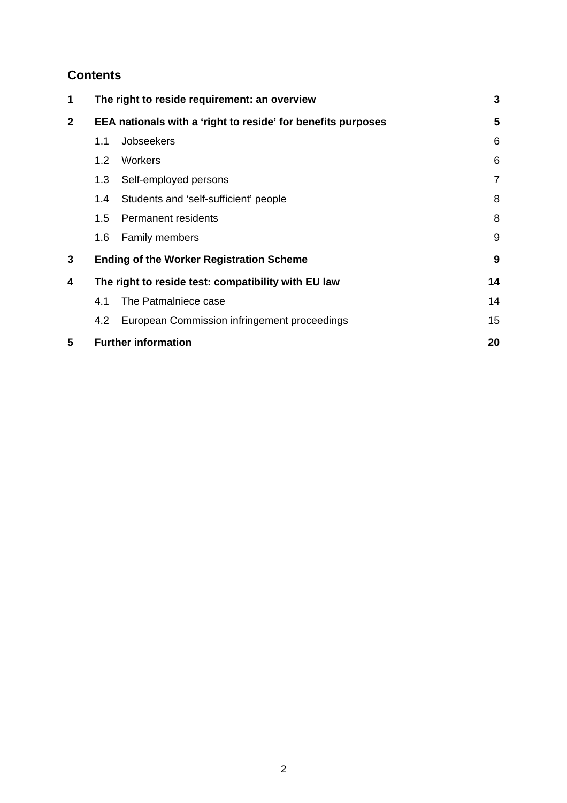# **Contents**

| 1            | The right to reside requirement: an overview                 |                                                 | 3              |
|--------------|--------------------------------------------------------------|-------------------------------------------------|----------------|
| $\mathbf{2}$ | EEA nationals with a 'right to reside' for benefits purposes |                                                 | 5              |
|              | 1.1                                                          | <b>Jobseekers</b>                               | 6              |
|              | 1.2 <sub>1</sub>                                             | Workers                                         | 6              |
|              | 1.3                                                          | Self-employed persons                           | $\overline{7}$ |
|              | $1.4^{\circ}$                                                | Students and 'self-sufficient' people           | 8              |
|              | $1.5^{\circ}$                                                | <b>Permanent residents</b>                      | 8              |
|              | 1.6                                                          | Family members                                  | 9              |
| 3            |                                                              | <b>Ending of the Worker Registration Scheme</b> | 9              |
| 4            | The right to reside test: compatibility with EU law          |                                                 | 14             |
|              | 4.1                                                          | The Patmalniece case                            | 14             |
|              | 4.2                                                          | European Commission infringement proceedings    | 15             |
| 5            | <b>Further information</b>                                   |                                                 | 20             |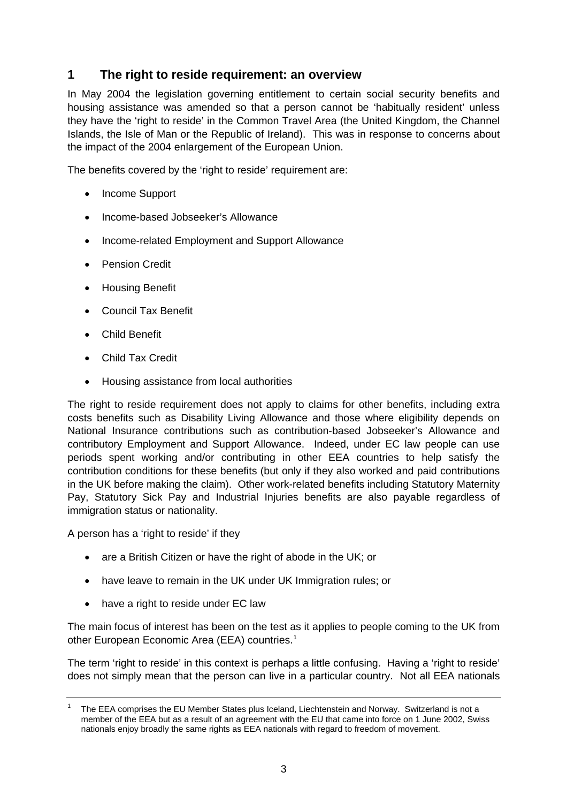### <span id="page-2-0"></span>**1 The right to reside requirement: an overview**

In May 2004 the legislation governing entitlement to certain social security benefits and housing assistance was amended so that a person cannot be 'habitually resident' unless they have the 'right to reside' in the Common Travel Area (the United Kingdom, the Channel Islands, the Isle of Man or the Republic of Ireland). This was in response to concerns about the impact of the 2004 enlargement of the European Union.

The benefits covered by the 'right to reside' requirement are:

- Income Support
- Income-based Jobseeker's Allowance
- Income-related Employment and Support Allowance
- Pension Credit
- Housing Benefit
- Council Tax Benefit
- Child Benefit
- Child Tax Credit
- Housing assistance from local authorities

The right to reside requirement does not apply to claims for other benefits, including extra costs benefits such as Disability Living Allowance and those where eligibility depends on National Insurance contributions such as contribution-based Jobseeker's Allowance and contributory Employment and Support Allowance. Indeed, under EC law people can use periods spent working and/or contributing in other EEA countries to help satisfy the contribution conditions for these benefits (but only if they also worked and paid contributions in the UK before making the claim). Other work-related benefits including Statutory Maternity Pay, Statutory Sick Pay and Industrial Injuries benefits are also payable regardless of immigration status or nationality.

A person has a 'right to reside' if they

- are a British Citizen or have the right of abode in the UK; or
- have leave to remain in the UK under UK Immigration rules; or
- have a right to reside under EC law

The main focus of interest has been on the test as it applies to people coming to the UK from other European Economic Area (EEA) countries.<sup>[1](#page-2-1)</sup>

The term 'right to reside' in this context is perhaps a little confusing. Having a 'right to reside' does not simply mean that the person can live in a particular country. Not all EEA nationals

<span id="page-2-1"></span><sup>1</sup> The EEA comprises the EU Member States plus Iceland, Liechtenstein and Norway. Switzerland is not a member of the EEA but as a result of an agreement with the EU that came into force on 1 June 2002, Swiss nationals enjoy broadly the same rights as EEA nationals with regard to freedom of movement.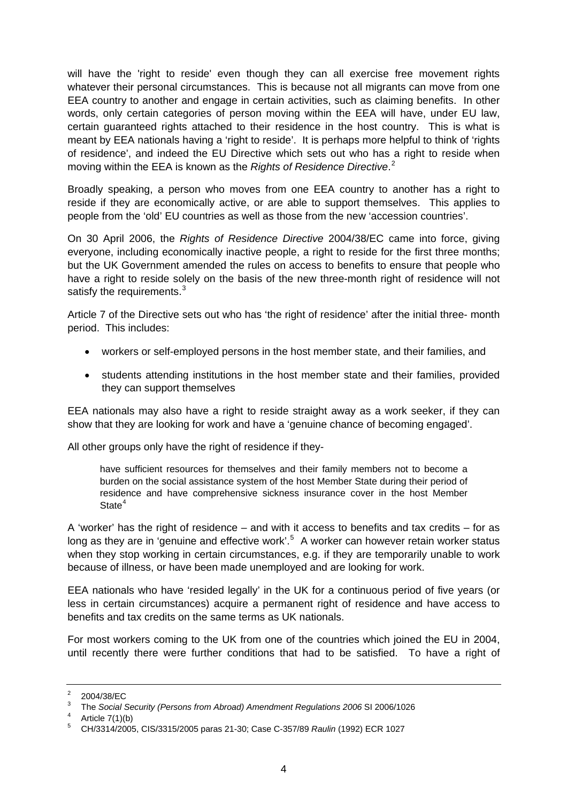will have the 'right to reside' even though they can all exercise free movement rights whatever their personal circumstances. This is because not all migrants can move from one EEA country to another and engage in certain activities, such as claiming benefits. In other words, only certain categories of person moving within the EEA will have, under EU law, certain guaranteed rights attached to their residence in the host country. This is what is meant by EEA nationals having a 'right to reside'. It is perhaps more helpful to think of 'rights of residence', and indeed the EU Directive which sets out who has a right to reside when moving within the EEA is known as the *Rights of Residence Directive*. [2](#page-3-0)

Broadly speaking, a person who moves from one EEA country to another has a right to reside if they are economically active, or are able to support themselves. This applies to people from the 'old' EU countries as well as those from the new 'accession countries'.

On 30 April 2006, the *Rights of Residence Directive* 2004/38/EC came into force, giving everyone, including economically inactive people, a right to reside for the first three months; but the UK Government amended the rules on access to benefits to ensure that people who have a right to reside solely on the basis of the new three-month right of residence will not satisfy the requirements. $3$ 

Article 7 of the Directive sets out who has 'the right of residence' after the initial three- month period. This includes:

- workers or self-employed persons in the host member state, and their families, and
- students attending institutions in the host member state and their families, provided they can support themselves

EEA nationals may also have a right to reside straight away as a work seeker, if they can show that they are looking for work and have a 'genuine chance of becoming engaged'.

All other groups only have the right of residence if they-

have sufficient resources for themselves and their family members not to become a burden on the social assistance system of the host Member State during their period of residence and have comprehensive sickness insurance cover in the host Member  $State<sup>4</sup>$  $State<sup>4</sup>$  $State<sup>4</sup>$ 

A 'worker' has the right of residence – and with it access to benefits and tax credits – for as long as they are in 'genuine and effective work'.<sup>[5](#page-3-3)</sup> A worker can however retain worker status when they stop working in certain circumstances, e.g. if they are temporarily unable to work because of illness, or have been made unemployed and are looking for work.

EEA nationals who have 'resided legally' in the UK for a continuous period of five years (or less in certain circumstances) acquire a permanent right of residence and have access to benefits and tax credits on the same terms as UK nationals.

For most workers coming to the UK from one of the countries which joined the EU in 2004, until recently there were further conditions that had to be satisfied. To have a right of

<span id="page-3-1"></span><span id="page-3-0"></span><sup>2</sup> 2004/38/EC

<sup>&</sup>lt;sup>3</sup> The *Social Security (Persons from Abroad) Amendment Regulations 2006 SI 2006/1026* 

<span id="page-3-2"></span> $4$  Article 7(1)(b)

<span id="page-3-3"></span><sup>5</sup> CH/3314/2005, CIS/3315/2005 paras 21-30; Case C-357/89 *Raulin* (1992) ECR 1027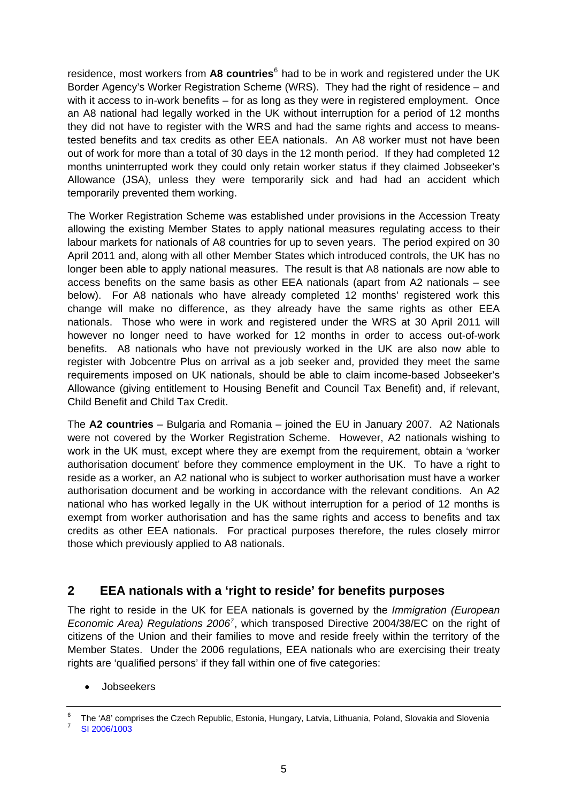<span id="page-4-0"></span>residence, most workers from A8 countries<sup>[6](#page-4-1)</sup> had to be in work and registered under the UK Border Agency's Worker Registration Scheme (WRS). They had the right of residence – and with it access to in-work benefits – for as long as they were in registered employment. Once an A8 national had legally worked in the UK without interruption for a period of 12 months they did not have to register with the WRS and had the same rights and access to meanstested benefits and tax credits as other EEA nationals. An A8 worker must not have been out of work for more than a total of 30 days in the 12 month period. If they had completed 12 months uninterrupted work they could only retain worker status if they claimed Jobseeker's Allowance (JSA), unless they were temporarily sick and had had an accident which temporarily prevented them working.

The Worker Registration Scheme was established under provisions in the Accession Treaty allowing the existing Member States to apply national measures regulating access to their labour markets for nationals of A8 countries for up to seven years. The period expired on 30 April 2011 and, along with all other Member States which introduced controls, the UK has no longer been able to apply national measures. The result is that A8 nationals are now able to access benefits on the same basis as other EEA nationals (apart from A2 nationals – see below). For A8 nationals who have already completed 12 months' registered work this change will make no difference, as they already have the same rights as other EEA nationals. Those who were in work and registered under the WRS at 30 April 2011 will however no longer need to have worked for 12 months in order to access out-of-work benefits. A8 nationals who have not previously worked in the UK are also now able to register with Jobcentre Plus on arrival as a job seeker and, provided they meet the same requirements imposed on UK nationals, should be able to claim income-based Jobseeker's Allowance (giving entitlement to Housing Benefit and Council Tax Benefit) and, if relevant, Child Benefit and Child Tax Credit.

The **A2 countries** – Bulgaria and Romania – joined the EU in January 2007. A2 Nationals were not covered by the Worker Registration Scheme. However, A2 nationals wishing to work in the UK must, except where they are exempt from the requirement, obtain a 'worker authorisation document' before they commence employment in the UK. To have a right to reside as a worker, an A2 national who is subject to worker authorisation must have a worker authorisation document and be working in accordance with the relevant conditions. An A2 national who has worked legally in the UK without interruption for a period of 12 months is exempt from worker authorisation and has the same rights and access to benefits and tax credits as other EEA nationals. For practical purposes therefore, the rules closely mirror those which previously applied to A8 nationals.

# **2 EEA nationals with a 'right to reside' for benefits purposes**

The right to reside in the UK for EEA nationals is governed by the *Immigration (European Economic Area) Regulations 2006[7](#page-4-2)* , which transposed Directive 2004/38/EC on the right of citizens of the Union and their families to move and reside freely within the territory of the Member States. Under the 2006 regulations, EEA nationals who are exercising their treaty rights are 'qualified persons' if they fall within one of five categories:

• Jobseekers

<span id="page-4-2"></span><span id="page-4-1"></span><sup>6</sup> The 'A8' comprises the Czech Republic, Estonia, Hungary, Latvia, Lithuania, Poland, Slovakia and Slovenia

<sup>7</sup> [SI 2006/1003](http://www.dwp.gov.uk/docs/a1-6209.pdf)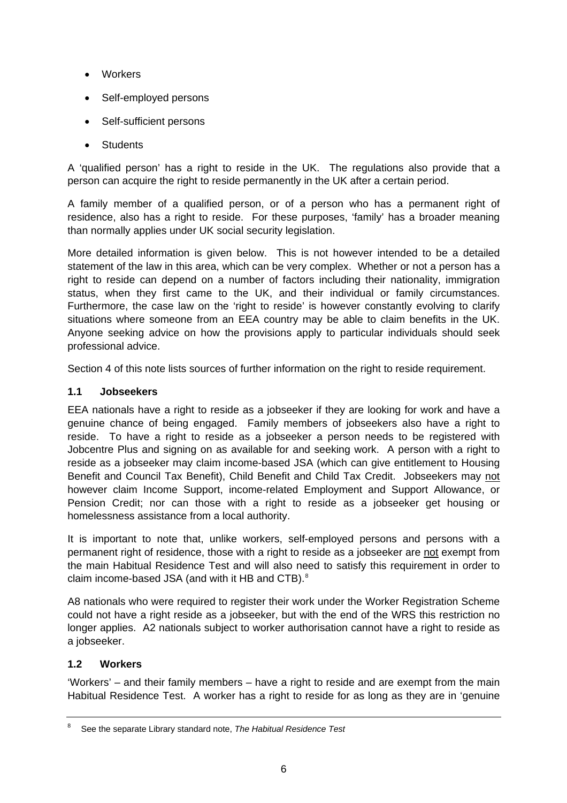- <span id="page-5-0"></span>• Workers
- Self-employed persons
- Self-sufficient persons
- **Students**

A 'qualified person' has a right to reside in the UK. The regulations also provide that a person can acquire the right to reside permanently in the UK after a certain period.

A family member of a qualified person, or of a person who has a permanent right of residence, also has a right to reside. For these purposes, 'family' has a broader meaning than normally applies under UK social security legislation.

More detailed information is given below. This is not however intended to be a detailed statement of the law in this area, which can be very complex. Whether or not a person has a right to reside can depend on a number of factors including their nationality, immigration status, when they first came to the UK, and their individual or family circumstances. Furthermore, the case law on the 'right to reside' is however constantly evolving to clarify situations where someone from an EEA country may be able to claim benefits in the UK. Anyone seeking advice on how the provisions apply to particular individuals should seek professional advice.

Section 4 of this note lists sources of further information on the right to reside requirement.

### **1.1 Jobseekers**

EEA nationals have a right to reside as a jobseeker if they are looking for work and have a genuine chance of being engaged. Family members of jobseekers also have a right to reside. To have a right to reside as a jobseeker a person needs to be registered with Jobcentre Plus and signing on as available for and seeking work. A person with a right to reside as a jobseeker may claim income-based JSA (which can give entitlement to Housing Benefit and Council Tax Benefit), Child Benefit and Child Tax Credit. Jobseekers may not however claim Income Support, income-related Employment and Support Allowance, or Pension Credit; nor can those with a right to reside as a jobseeker get housing or homelessness assistance from a local authority.

It is important to note that, unlike workers, self-employed persons and persons with a permanent right of residence, those with a right to reside as a jobseeker are not exempt from the main Habitual Residence Test and will also need to satisfy this requirement in order to claim income-based JSA (and with it HB and CTB).<sup>[8](#page-5-1)</sup>

A8 nationals who were required to register their work under the Worker Registration Scheme could not have a right reside as a jobseeker, but with the end of the WRS this restriction no longer applies. A2 nationals subject to worker authorisation cannot have a right to reside as a jobseeker.

### **1.2 Workers**

'Workers' – and their family members – have a right to reside and are exempt from the main Habitual Residence Test. A worker has a right to reside for as long as they are in 'genuine

<span id="page-5-1"></span><sup>8</sup> See the separate Library standard note, *The Habitual Residence Test*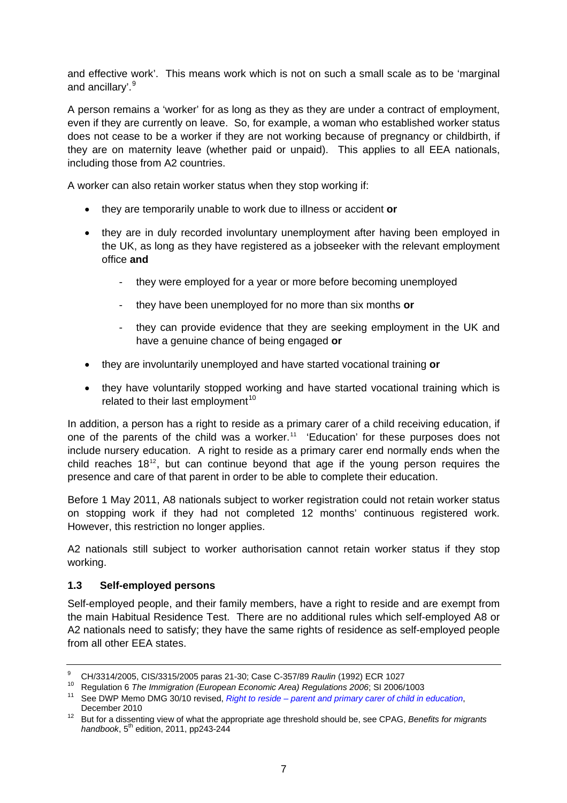<span id="page-6-0"></span>and effective work'. This means work which is not on such a small scale as to be 'marginal and ancillary'.<sup>[9](#page-6-1)</sup>

A person remains a 'worker' for as long as they as they are under a contract of employment, even if they are currently on leave. So, for example, a woman who established worker status does not cease to be a worker if they are not working because of pregnancy or childbirth, if they are on maternity leave (whether paid or unpaid). This applies to all EEA nationals, including those from A2 countries.

A worker can also retain worker status when they stop working if:

- they are temporarily unable to work due to illness or accident **or**
- they are in duly recorded involuntary unemployment after having been employed in the UK, as long as they have registered as a jobseeker with the relevant employment office **and**
	- they were employed for a year or more before becoming unemployed
	- they have been unemployed for no more than six months **or**
	- they can provide evidence that they are seeking employment in the UK and have a genuine chance of being engaged **or**
- they are involuntarily unemployed and have started vocational training **or**
- they have voluntarily stopped working and have started vocational training which is related to their last employment<sup>[10](#page-6-2)</sup>

In addition, a person has a right to reside as a primary carer of a child receiving education, if one of the parents of the child was a worker.<sup>[11](#page-6-3)</sup> 'Education' for these purposes does not include nursery education. A right to reside as a primary carer end normally ends when the child reaches  $18^{12}$  $18^{12}$  $18^{12}$ , but can continue beyond that age if the young person requires the presence and care of that parent in order to be able to complete their education.

Before 1 May 2011, A8 nationals subject to worker registration could not retain worker status on stopping work if they had not completed 12 months' continuous registered work. However, this restriction no longer applies.

A2 nationals still subject to worker authorisation cannot retain worker status if they stop working.

#### **1.3 Self-employed persons**

Self-employed people, and their family members, have a right to reside and are exempt from the main Habitual Residence Test. There are no additional rules which self-employed A8 or A2 nationals need to satisfy; they have the same rights of residence as self-employed people from all other EEA states.

<span id="page-6-2"></span><span id="page-6-1"></span> $\alpha$ 

<sup>&</sup>lt;sup>9</sup> CH/3314/2005, CIS/3315/2005 paras 21-30; Case C-357/89 Raulin (1992) ECR 1027<br><sup>10</sup> Regulation 6 *The Immigration (European Economic Area) Regulations 2006; SI 2006/1003<br><sup>11</sup> See DWP Memo DMG 30/10 revised, Right to res* 

<span id="page-6-4"></span><span id="page-6-3"></span>December 2010<br><sup>12</sup> But for a dissenting view of what the appropriate age threshold should be, see CPAG, *Benefits for migrants*  $handbook$ ,  $5<sup>th</sup>$  edition, 2011, pp243-244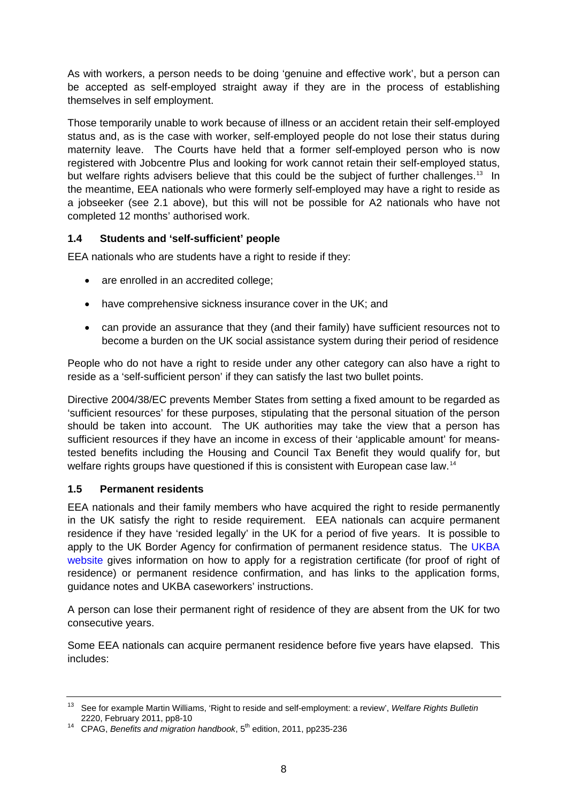<span id="page-7-0"></span>As with workers, a person needs to be doing 'genuine and effective work', but a person can be accepted as self-employed straight away if they are in the process of establishing themselves in self employment.

Those temporarily unable to work because of illness or an accident retain their self-employed status and, as is the case with worker, self-employed people do not lose their status during maternity leave. The Courts have held that a former self-employed person who is now registered with Jobcentre Plus and looking for work cannot retain their self-employed status, but welfare rights advisers believe that this could be the subiect of further challenges.<sup>[13](#page-7-1)</sup> In the meantime, EEA nationals who were formerly self-employed may have a right to reside as a jobseeker (see 2.1 above), but this will not be possible for A2 nationals who have not completed 12 months' authorised work.

### **1.4 Students and 'self-sufficient' people**

EEA nationals who are students have a right to reside if they:

- are enrolled in an accredited college:
- have comprehensive sickness insurance cover in the UK; and
- can provide an assurance that they (and their family) have sufficient resources not to become a burden on the UK social assistance system during their period of residence

People who do not have a right to reside under any other category can also have a right to reside as a 'self-sufficient person' if they can satisfy the last two bullet points.

Directive 2004/38/EC prevents Member States from setting a fixed amount to be regarded as 'sufficient resources' for these purposes, stipulating that the personal situation of the person should be taken into account. The UK authorities may take the view that a person has sufficient resources if they have an income in excess of their 'applicable amount' for meanstested benefits including the Housing and Council Tax Benefit they would qualify for, but welfare rights groups have questioned if this is consistent with European case law.<sup>[14](#page-7-2)</sup>

### **1.5 Permanent residents**

EEA nationals and their family members who have acquired the right to reside permanently in the UK satisfy the right to reside requirement. EEA nationals can acquire permanent residence if they have 'resided legally' in the UK for a period of five years. It is possible to apply to the UK Border Agency for confirmation of permanent residence status. The UKBA [website](http://www.ukba.homeoffice.gov.uk/eucitizens/documents-eea-nationals/) gives information on how to apply for a registration certificate (for proof of right of residence) or permanent residence confirmation, and has links to the application forms, guidance notes and UKBA caseworkers' instructions.

A person can lose their permanent right of residence of they are absent from the UK for two consecutive years.

Some EEA nationals can acquire permanent residence before five years have elapsed. This includes:

<span id="page-7-1"></span><sup>13</sup> See for example Martin Williams, 'Right to reside and self-employment: a review', *Welfare Rights Bulletin*

<span id="page-7-2"></span><sup>&</sup>lt;sup>14</sup> CPAG, Benefits and migration handbook, 5<sup>th</sup> edition, 2011, pp235-236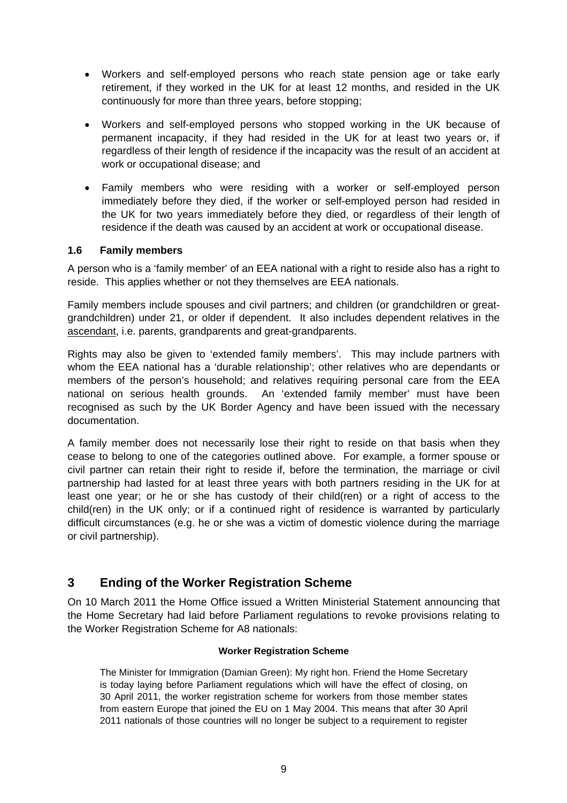- <span id="page-8-0"></span>• Workers and self-employed persons who reach state pension age or take early retirement, if they worked in the UK for at least 12 months, and resided in the UK continuously for more than three years, before stopping;
- Workers and self-employed persons who stopped working in the UK because of permanent incapacity, if they had resided in the UK for at least two years or, if regardless of their length of residence if the incapacity was the result of an accident at work or occupational disease; and
- Family members who were residing with a worker or self-employed person immediately before they died, if the worker or self-employed person had resided in the UK for two years immediately before they died, or regardless of their length of residence if the death was caused by an accident at work or occupational disease.

#### **1.6 Family members**

A person who is a 'family member' of an EEA national with a right to reside also has a right to reside. This applies whether or not they themselves are EEA nationals.

Family members include spouses and civil partners; and children (or grandchildren or greatgrandchildren) under 21, or older if dependent. It also includes dependent relatives in the ascendant, i.e. parents, grandparents and great-grandparents.

Rights may also be given to 'extended family members'. This may include partners with whom the EEA national has a 'durable relationship'; other relatives who are dependants or members of the person's household; and relatives requiring personal care from the EEA national on serious health grounds. An 'extended family member' must have been recognised as such by the UK Border Agency and have been issued with the necessary documentation.

A family member does not necessarily lose their right to reside on that basis when they cease to belong to one of the categories outlined above. For example, a former spouse or civil partner can retain their right to reside if, before the termination, the marriage or civil partnership had lasted for at least three years with both partners residing in the UK for at least one year; or he or she has custody of their child(ren) or a right of access to the child(ren) in the UK only; or if a continued right of residence is warranted by particularly difficult circumstances (e.g. he or she was a victim of domestic violence during the marriage or civil partnership).

# **3 Ending of the Worker Registration Scheme**

On 10 March 2011 the Home Office issued a Written Ministerial Statement announcing that the Home Secretary had laid before Parliament regulations to revoke provisions relating to the Worker Registration Scheme for A8 nationals:

#### **Worker Registration Scheme**

The Minister for Immigration (Damian Green): My right hon. Friend the Home Secretary is today laying before Parliament regulations which will have the effect of closing, on 30 April 2011, the worker registration scheme for workers from those member states from eastern Europe that joined the EU on 1 May 2004. This means that after 30 April 2011 nationals of those countries will no longer be subject to a requirement to register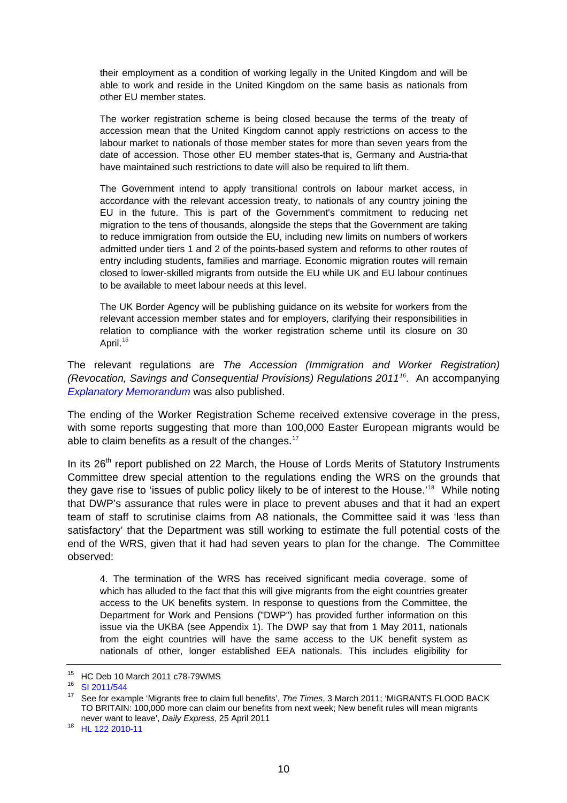their employment as a condition of working legally in the United Kingdom and will be able to work and reside in the United Kingdom on the same basis as nationals from other EU member states.

The worker registration scheme is being closed because the terms of the treaty of accession mean that the United Kingdom cannot apply restrictions on access to the labour market to nationals of those member states for more than seven years from the date of accession. Those other EU member states-that is, Germany and Austria-that have maintained such restrictions to date will also be required to lift them.

The Government intend to apply transitional controls on labour market access, in accordance with the relevant accession treaty, to nationals of any country joining the EU in the future. This is part of the Government's commitment to reducing net migration to the tens of thousands, alongside the steps that the Government are taking to reduce immigration from outside the EU, including new limits on numbers of workers admitted under tiers 1 and 2 of the points-based system and reforms to other routes of entry including students, families and marriage. Economic migration routes will remain closed to lower-skilled migrants from outside the EU while UK and EU labour continues to be available to meet labour needs at this level.

The UK Border Agency will be publishing guidance on its website for workers from the relevant accession member states and for employers, clarifying their responsibilities in relation to compliance with the worker registration scheme until its closure on 30 April.<sup>[15](#page-9-0)</sup>

The relevant regulations are *The Accession (Immigration and Worker Registration) (Revocation, Savings and Consequential Provisions) Regulations 2011[16](#page-9-1).* An accompanying *[Explanatory Memorandum](http://www.legislation.gov.uk/uksi/2011/544/memorandum/contents)* was also published.

The ending of the Worker Registration Scheme received extensive coverage in the press, with some reports suggesting that more than 100,000 Easter European migrants would be able to claim benefits as a result of the changes.<sup>[17](#page-9-2)</sup>

In its 26<sup>th</sup> report published on 22 March, the House of Lords Merits of Statutory Instruments Committee drew special attention to the regulations ending the WRS on the grounds that they gave rise to 'issues of public policy likely to be of interest to the House.<sup>[18](#page-9-3)</sup> While noting that DWP's assurance that rules were in place to prevent abuses and that it had an expert team of staff to scrutinise claims from A8 nationals, the Committee said it was 'less than satisfactory' that the Department was still working to estimate the full potential costs of the end of the WRS, given that it had had seven years to plan for the change. The Committee observed:

4. The termination of the WRS has received significant media coverage, some of which has alluded to the fact that this will give migrants from the eight countries greater access to the UK benefits system. In response to questions from the Committee, the Department for Work and Pensions ("DWP") has provided further information on this issue via the UKBA (see Appendix 1). The DWP say that from 1 May 2011, nationals from the eight countries will have the same access to the UK benefit system as nationals of other, longer established EEA nationals. This includes eligibility for

<span id="page-9-0"></span><sup>15</sup> HC Deb 10 March 2011 c78-79WMS

<span id="page-9-1"></span><sup>16</sup> [SI 2011/544](http://www.legislation.gov.uk/uksi/2011/544/contents/made)

<span id="page-9-2"></span><sup>17</sup> See for example 'Migrants free to claim full benefits', *The Times*, 3 March 2011; 'MIGRANTS FLOOD BACK TO BRITAIN: 100,000 more can claim our benefits from next week; New benefit rules will mean migrants never want to leave', *Daily Express*, 25 April 2011 18 [HL 122 2010-11](http://www.parliament.uk/business/committees/committees-a-z/lords-select/merits-of-statutory-instruments-committee/publications/)

<span id="page-9-3"></span>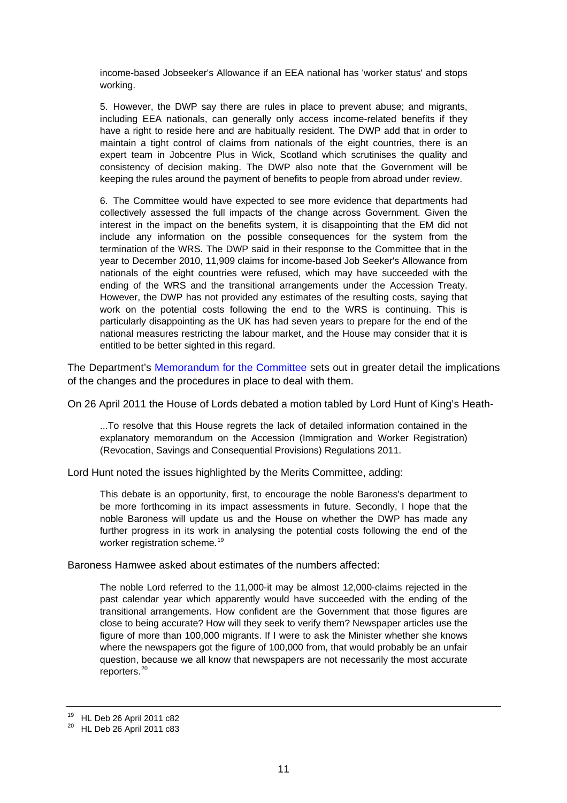income-based Jobseeker's Allowance if an EEA national has 'worker status' and stops working.

5. However, the DWP say there are rules in place to prevent abuse; and migrants, including EEA nationals, can generally only access income-related benefits if they have a right to reside here and are habitually resident. The DWP add that in order to maintain a tight control of claims from nationals of the eight countries, there is an expert team in Jobcentre Plus in Wick, Scotland which scrutinises the quality and consistency of decision making. The DWP also note that the Government will be keeping the rules around the payment of benefits to people from abroad under review.

6. The Committee would have expected to see more evidence that departments had collectively assessed the full impacts of the change across Government. Given the interest in the impact on the benefits system, it is disappointing that the EM did not include any information on the possible consequences for the system from the termination of the WRS. The DWP said in their response to the Committee that in the year to December 2010, 11,909 claims for income-based Job Seeker's Allowance from nationals of the eight countries were refused, which may have succeeded with the ending of the WRS and the transitional arrangements under the Accession Treaty. However, the DWP has not provided any estimates of the resulting costs, saying that work on the potential costs following the end to the WRS is continuing. This is particularly disappointing as the UK has had seven years to prepare for the end of the national measures restricting the labour market, and the House may consider that it is entitled to be better sighted in this regard.

The Department's [Memorandum for the Committee](http://www.publications.parliament.uk/pa/ld201011/ldselect/ldmerit/122/12207.htm) sets out in greater detail the implications of the changes and the procedures in place to deal with them.

On 26 April 2011 the House of Lords debated a motion tabled by Lord Hunt of King's Heath-

...To resolve that this House regrets the lack of detailed information contained in the explanatory memorandum on the Accession (Immigration and Worker Registration) (Revocation, Savings and Consequential Provisions) Regulations 2011.

Lord Hunt noted the issues highlighted by the Merits Committee, adding:

This debate is an opportunity, first, to encourage the noble Baroness's department to be more forthcoming in its impact assessments in future. Secondly, I hope that the noble Baroness will update us and the House on whether the DWP has made any further progress in its work in analysing the potential costs following the end of the worker registration scheme.<sup>[19](#page-10-0)</sup>

Baroness Hamwee asked about estimates of the numbers affected:

The noble Lord referred to the 11,000-it may be almost 12,000-claims rejected in the past calendar year which apparently would have succeeded with the ending of the transitional arrangements. How confident are the Government that those figures are close to being accurate? How will they seek to verify them? Newspaper articles use the figure of more than 100,000 migrants. If I were to ask the Minister whether she knows where the newspapers got the figure of 100,000 from, that would probably be an unfair question, because we all know that newspapers are not necessarily the most accurate reporters.<sup>[20](#page-10-1)</sup>

<sup>19</sup> HL Deb 26 April 2011 c82

<span id="page-10-1"></span><span id="page-10-0"></span><sup>20</sup> HL Deb 26 April 2011 c83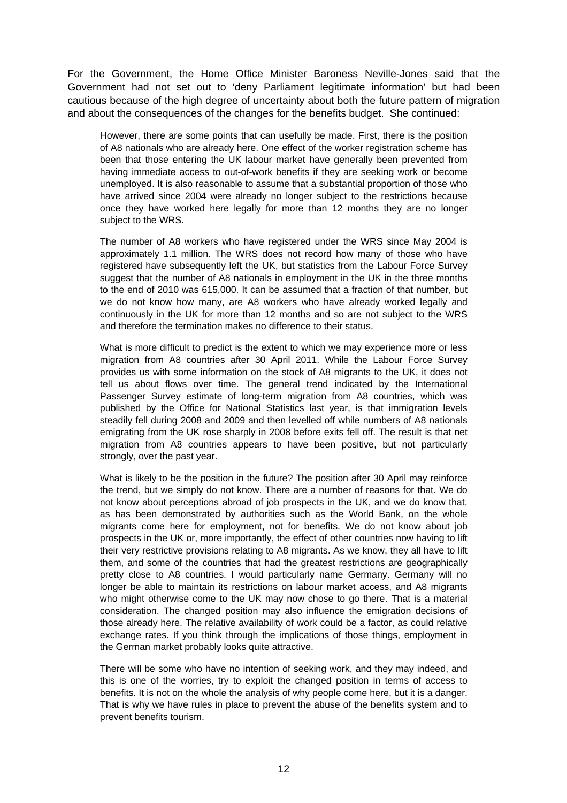For the Government, the Home Office Minister Baroness Neville-Jones said that the Government had not set out to 'deny Parliament legitimate information' but had been cautious because of the high degree of uncertainty about both the future pattern of migration and about the consequences of the changes for the benefits budget. She continued:

However, there are some points that can usefully be made. First, there is the position of A8 nationals who are already here. One effect of the worker registration scheme has been that those entering the UK labour market have generally been prevented from having immediate access to out-of-work benefits if they are seeking work or become unemployed. It is also reasonable to assume that a substantial proportion of those who have arrived since 2004 were already no longer subject to the restrictions because once they have worked here legally for more than 12 months they are no longer subject to the WRS.

The number of A8 workers who have registered under the WRS since May 2004 is approximately 1.1 million. The WRS does not record how many of those who have registered have subsequently left the UK, but statistics from the Labour Force Survey suggest that the number of A8 nationals in employment in the UK in the three months to the end of 2010 was 615,000. It can be assumed that a fraction of that number, but we do not know how many, are A8 workers who have already worked legally and continuously in the UK for more than 12 months and so are not subject to the WRS and therefore the termination makes no difference to their status.

What is more difficult to predict is the extent to which we may experience more or less migration from A8 countries after 30 April 2011. While the Labour Force Survey provides us with some information on the stock of A8 migrants to the UK, it does not tell us about flows over time. The general trend indicated by the International Passenger Survey estimate of long-term migration from A8 countries, which was published by the Office for National Statistics last year, is that immigration levels steadily fell during 2008 and 2009 and then levelled off while numbers of A8 nationals emigrating from the UK rose sharply in 2008 before exits fell off. The result is that net migration from A8 countries appears to have been positive, but not particularly strongly, over the past year.

What is likely to be the position in the future? The position after 30 April may reinforce the trend, but we simply do not know. There are a number of reasons for that. We do not know about perceptions abroad of job prospects in the UK, and we do know that, as has been demonstrated by authorities such as the World Bank, on the whole migrants come here for employment, not for benefits. We do not know about job prospects in the UK or, more importantly, the effect of other countries now having to lift their very restrictive provisions relating to A8 migrants. As we know, they all have to lift them, and some of the countries that had the greatest restrictions are geographically pretty close to A8 countries. I would particularly name Germany. Germany will no longer be able to maintain its restrictions on labour market access, and A8 migrants who might otherwise come to the UK may now chose to go there. That is a material consideration. The changed position may also influence the emigration decisions of those already here. The relative availability of work could be a factor, as could relative exchange rates. If you think through the implications of those things, employment in the German market probably looks quite attractive.

There will be some who have no intention of seeking work, and they may indeed, and this is one of the worries, try to exploit the changed position in terms of access to benefits. It is not on the whole the analysis of why people come here, but it is a danger. That is why we have rules in place to prevent the abuse of the benefits system and to prevent benefits tourism.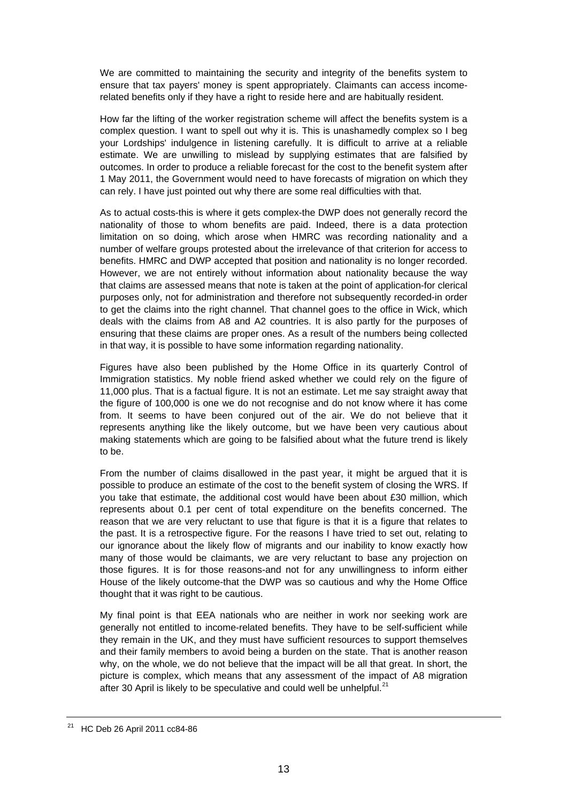We are committed to maintaining the security and integrity of the benefits system to ensure that tax payers' money is spent appropriately. Claimants can access incomerelated benefits only if they have a right to reside here and are habitually resident.

How far the lifting of the worker registration scheme will affect the benefits system is a complex question. I want to spell out why it is. This is unashamedly complex so I beg your Lordships' indulgence in listening carefully. It is difficult to arrive at a reliable estimate. We are unwilling to mislead by supplying estimates that are falsified by outcomes. In order to produce a reliable forecast for the cost to the benefit system after 1 May 2011, the Government would need to have forecasts of migration on which they can rely. I have just pointed out why there are some real difficulties with that.

As to actual costs-this is where it gets complex-the DWP does not generally record the nationality of those to whom benefits are paid. Indeed, there is a data protection limitation on so doing, which arose when HMRC was recording nationality and a number of welfare groups protested about the irrelevance of that criterion for access to benefits. HMRC and DWP accepted that position and nationality is no longer recorded. However, we are not entirely without information about nationality because the way that claims are assessed means that note is taken at the point of application-for clerical purposes only, not for administration and therefore not subsequently recorded-in order to get the claims into the right channel. That channel goes to the office in Wick, which deals with the claims from A8 and A2 countries. It is also partly for the purposes of ensuring that these claims are proper ones. As a result of the numbers being collected in that way, it is possible to have some information regarding nationality.

Figures have also been published by the Home Office in its quarterly Control of Immigration statistics. My noble friend asked whether we could rely on the figure of 11,000 plus. That is a factual figure. It is not an estimate. Let me say straight away that the figure of 100,000 is one we do not recognise and do not know where it has come from. It seems to have been conjured out of the air. We do not believe that it represents anything like the likely outcome, but we have been very cautious about making statements which are going to be falsified about what the future trend is likely to be.

From the number of claims disallowed in the past year, it might be argued that it is possible to produce an estimate of the cost to the benefit system of closing the WRS. If you take that estimate, the additional cost would have been about £30 million, which represents about 0.1 per cent of total expenditure on the benefits concerned. The reason that we are very reluctant to use that figure is that it is a figure that relates to the past. It is a retrospective figure. For the reasons I have tried to set out, relating to our ignorance about the likely flow of migrants and our inability to know exactly how many of those would be claimants, we are very reluctant to base any projection on those figures. It is for those reasons-and not for any unwillingness to inform either House of the likely outcome-that the DWP was so cautious and why the Home Office thought that it was right to be cautious.

My final point is that EEA nationals who are neither in work nor seeking work are generally not entitled to income-related benefits. They have to be self-sufficient while they remain in the UK, and they must have sufficient resources to support themselves and their family members to avoid being a burden on the state. That is another reason why, on the whole, we do not believe that the impact will be all that great. In short, the picture is complex, which means that any assessment of the impact of A8 migration after 30 April is likely to be speculative and could well be unhelpful. $21$ 

<span id="page-12-0"></span><sup>21</sup> HC Deb 26 April 2011 cc84-86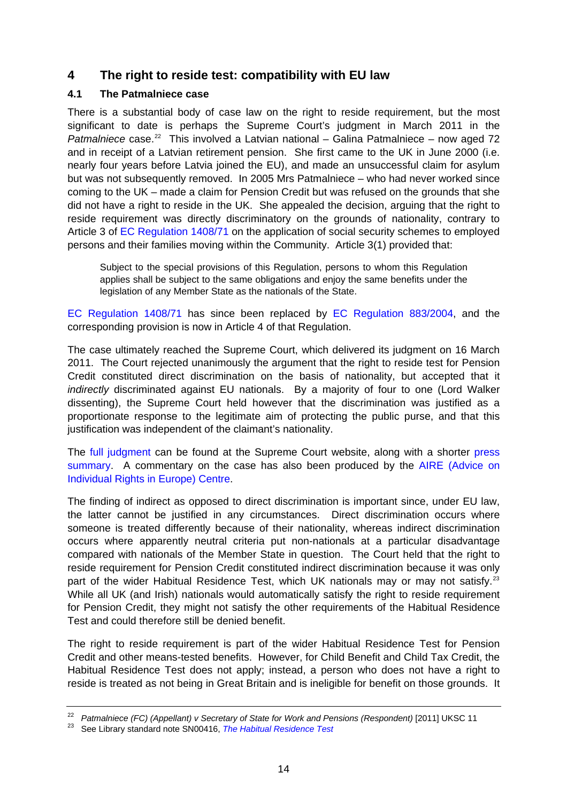### <span id="page-13-0"></span>**4 The right to reside test: compatibility with EU law**

### **4.1 The Patmalniece case**

There is a substantial body of case law on the right to reside requirement, but the most significant to date is perhaps the Supreme Court's judgment in March 2011 in the *Patmalniece case.*<sup>[22](#page-13-1)</sup> This involved a Latvian national – Galina Patmalniece – now aged 72 and in receipt of a Latvian retirement pension. She first came to the UK in June 2000 (i.e. nearly four years before Latvia joined the EU), and made an unsuccessful claim for asylum but was not subsequently removed. In 2005 Mrs Patmalniece – who had never worked since coming to the UK – made a claim for Pension Credit but was refused on the grounds that she did not have a right to reside in the UK. She appealed the decision, arguing that the right to reside requirement was directly discriminatory on the grounds of nationality, contrary to Article 3 of [EC Regulation 1408/71](http://europa.eu/legislation_summaries/employment_and_social_policy/social_protection/c10516_en.htm) on the application of social security schemes to employed persons and their families moving within the Community. Article 3(1) provided that:

Subject to the special provisions of this Regulation, persons to whom this Regulation applies shall be subject to the same obligations and enjoy the same benefits under the legislation of any Member State as the nationals of the State.

[EC Regulation 1408/71](http://europa.eu/legislation_summaries/employment_and_social_policy/social_protection/c10516_en.htm) has since been replaced by [EC Regulation 883/2004,](http://europa.eu/legislation_summaries/internal_market/living_and_working_in_the_internal_market/c10521_en.htm) and the corresponding provision is now in Article 4 of that Regulation.

The case ultimately reached the Supreme Court, which delivered its judgment on 16 March 2011. The Court rejected unanimously the argument that the right to reside test for Pension Credit constituted direct discrimination on the basis of nationality, but accepted that it *indirectly* discriminated against EU nationals. By a majority of four to one (Lord Walker dissenting), the Supreme Court held however that the discrimination was justified as a proportionate response to the legitimate aim of protecting the public purse, and that this justification was independent of the claimant's nationality.

The [full judgment](http://www.supremecourt.gov.uk/decided-cases/docs/UKSC_2009_0177_Judgment.pdf) can be found at the Supreme Court website, along with a shorter [press](http://www.supremecourt.gov.uk/decided-cases/docs/UKSC_2009_0177_PressSummary.pdf)  [summary](http://www.supremecourt.gov.uk/decided-cases/docs/UKSC_2009_0177_PressSummary.pdf). A commentary on the case has also been produced by the [AIRE \(Advice on](http://www.airecentre.org/news.php/18/uk-supreme-court-judgment-in-patmalniece)  [Individual Rights in Europe\) Centre](http://www.airecentre.org/news.php/18/uk-supreme-court-judgment-in-patmalniece).

The finding of indirect as opposed to direct discrimination is important since, under EU law, the latter cannot be justified in any circumstances. Direct discrimination occurs where someone is treated differently because of their nationality, whereas indirect discrimination occurs where apparently neutral criteria put non-nationals at a particular disadvantage compared with nationals of the Member State in question. The Court held that the right to reside requirement for Pension Credit constituted indirect discrimination because it was only part of the wider Habitual Residence Test, which UK nationals may or may not satisfy.<sup>[23](#page-13-2)</sup> While all UK (and Irish) nationals would automatically satisfy the right to reside requirement for Pension Credit, they might not satisfy the other requirements of the Habitual Residence Test and could therefore still be denied benefit.

The right to reside requirement is part of the wider Habitual Residence Test for Pension Credit and other means-tested benefits. However, for Child Benefit and Child Tax Credit, the Habitual Residence Test does not apply; instead, a person who does not have a right to reside is treated as not being in Great Britain and is ineligible for benefit on those grounds. It

<span id="page-13-2"></span><span id="page-13-1"></span><sup>&</sup>lt;sup>22</sup> Patmalniece (FC) (Appellant) v Secretary of State for Work and Pensions (Respondent) [2011] UKSC 11<br><sup>23</sup> See Library standard note SN00416, *The Habitual Residence Test*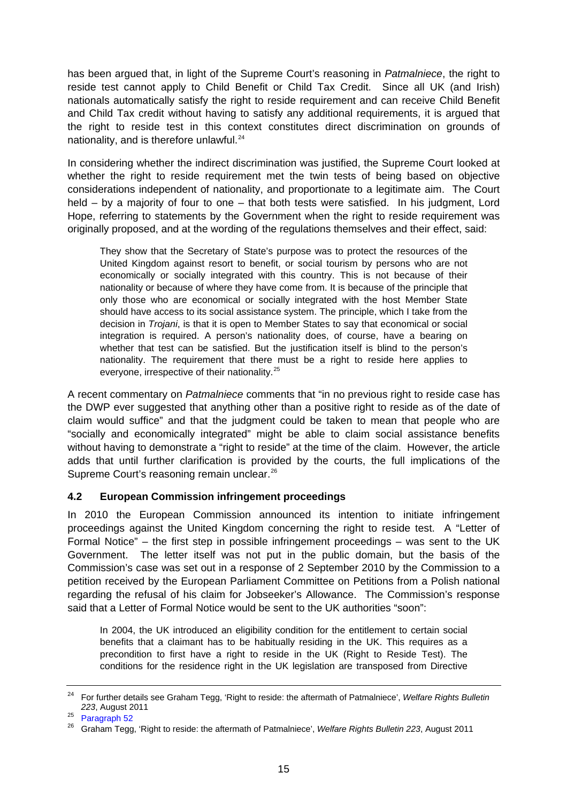<span id="page-14-0"></span>has been argued that, in light of the Supreme Court's reasoning in *Patmalniece*, the right to reside test cannot apply to Child Benefit or Child Tax Credit. Since all UK (and Irish) nationals automatically satisfy the right to reside requirement and can receive Child Benefit and Child Tax credit without having to satisfy any additional requirements, it is argued that the right to reside test in this context constitutes direct discrimination on grounds of nationality, and is therefore unlawful.<sup>[24](#page-14-1)</sup>

In considering whether the indirect discrimination was justified, the Supreme Court looked at whether the right to reside requirement met the twin tests of being based on objective considerations independent of nationality, and proportionate to a legitimate aim. The Court held – by a majority of four to one – that both tests were satisfied. In his judgment, Lord Hope, referring to statements by the Government when the right to reside requirement was originally proposed, and at the wording of the regulations themselves and their effect, said:

They show that the Secretary of State's purpose was to protect the resources of the United Kingdom against resort to benefit, or social tourism by persons who are not economically or socially integrated with this country. This is not because of their nationality or because of where they have come from. It is because of the principle that only those who are economical or socially integrated with the host Member State should have access to its social assistance system. The principle, which I take from the decision in *Trojani*, is that it is open to Member States to say that economical or social integration is required. A person's nationality does, of course, have a bearing on whether that test can be satisfied. But the justification itself is blind to the person's nationality. The requirement that there must be a right to reside here applies to everyone, irrespective of their nationality.<sup>[25](#page-14-2)</sup>

A recent commentary on *Patmalniece* comments that "in no previous right to reside case has the DWP ever suggested that anything other than a positive right to reside as of the date of claim would suffice" and that the judgment could be taken to mean that people who are "socially and economically integrated" might be able to claim social assistance benefits without having to demonstrate a "right to reside" at the time of the claim. However, the article adds that until further clarification is provided by the courts, the full implications of the Supreme Court's reasoning remain unclear.<sup>[26](#page-14-3)</sup>

### **4.2 European Commission infringement proceedings**

In 2010 the European Commission announced its intention to initiate infringement proceedings against the United Kingdom concerning the right to reside test. A "Letter of Formal Notice" – the first step in possible infringement proceedings – was sent to the UK Government. The letter itself was not put in the public domain, but the basis of the Commission's case was set out in a response of 2 September 2010 by the Commission to a petition received by the European Parliament Committee on Petitions from a Polish national regarding the refusal of his claim for Jobseeker's Allowance. The Commission's response said that a Letter of Formal Notice would be sent to the UK authorities "soon":

In 2004, the UK introduced an eligibility condition for the entitlement to certain social benefits that a claimant has to be habitually residing in the UK. This requires as a precondition to first have a right to reside in the UK (Right to Reside Test). The conditions for the residence right in the UK legislation are transposed from Directive

<span id="page-14-1"></span><sup>24</sup> For further details see Graham Tegg, 'Right to reside: the aftermath of Patmalniece', *Welfare Rights Bulletin <sup>223</sup>*, August 2011 25 [Paragraph 52](http://www.supremecourt.gov.uk/decided-cases/docs/UKSC_2009_0177_Judgment.pdf)

<span id="page-14-2"></span>

<span id="page-14-3"></span><sup>26</sup> Graham Tegg, 'Right to reside: the aftermath of Patmalniece', *Welfare Rights Bulletin 223*, August 2011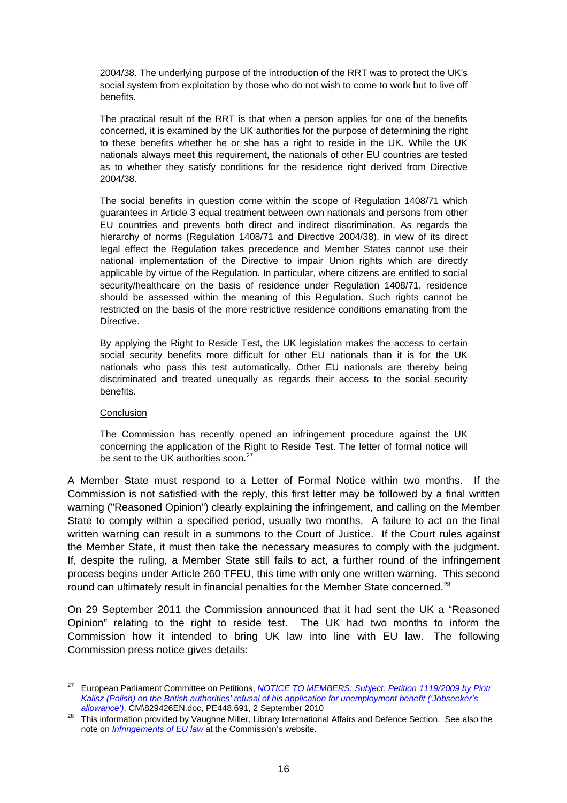2004/38. The underlying purpose of the introduction of the RRT was to protect the UK's social system from exploitation by those who do not wish to come to work but to live off benefits.

The practical result of the RRT is that when a person applies for one of the benefits concerned, it is examined by the UK authorities for the purpose of determining the right to these benefits whether he or she has a right to reside in the UK. While the UK nationals always meet this requirement, the nationals of other EU countries are tested as to whether they satisfy conditions for the residence right derived from Directive 2004/38.

The social benefits in question come within the scope of Regulation 1408/71 which guarantees in Article 3 equal treatment between own nationals and persons from other EU countries and prevents both direct and indirect discrimination. As regards the hierarchy of norms (Regulation 1408/71 and Directive 2004/38), in view of its direct legal effect the Regulation takes precedence and Member States cannot use their national implementation of the Directive to impair Union rights which are directly applicable by virtue of the Regulation. In particular, where citizens are entitled to social security/healthcare on the basis of residence under Regulation 1408/71, residence should be assessed within the meaning of this Regulation. Such rights cannot be restricted on the basis of the more restrictive residence conditions emanating from the **Directive** 

By applying the Right to Reside Test, the UK legislation makes the access to certain social security benefits more difficult for other EU nationals than it is for the UK nationals who pass this test automatically. Other EU nationals are thereby being discriminated and treated unequally as regards their access to the social security benefits.

#### **Conclusion**

The Commission has recently opened an infringement procedure against the UK concerning the application of the Right to Reside Test. The letter of formal notice will be sent to the UK authorities soon.<sup>[27](#page-15-0)</sup>

A Member State must respond to a Letter of Formal Notice within two months. If the Commission is not satisfied with the reply, this first letter may be followed by a final written warning ("Reasoned Opinion") clearly explaining the infringement, and calling on the Member State to comply within a specified period, usually two months. A failure to act on the final written warning can result in a summons to the Court of Justice. If the Court rules against the Member State, it must then take the necessary measures to comply with the judgment. If, despite the ruling, a Member State still fails to act, a further round of the infringement process begins under Article 260 TFEU, this time with only one written warning. This second round can ultimately result in financial penalties for the Member State concerned.<sup>[28](#page-15-1)</sup>

On 29 September 2011 the Commission announced that it had sent the UK a "Reasoned Opinion" relating to the right to reside test. The UK had two months to inform the Commission how it intended to bring UK law into line with EU law. The following Commission press notice gives details:

<span id="page-15-0"></span><sup>27</sup> European Parliament Committee on Petitions, *[NOTICE TO MEMBERS: Subject: Petition 1119/2009 by Piotr](http://www.europarl.europa.eu/sides/getDoc.do?pubRef=-//EP//NONSGML+COMPARL+PE-448.691+01+DOC+PDF+V0//EN&language=SK)  [Kalisz \(Polish\) on the British authorities' refusal of his application for unemployment benefit \('Jobseeker's](http://www.europarl.europa.eu/sides/getDoc.do?pubRef=-//EP//NONSGML+COMPARL+PE-448.691+01+DOC+PDF+V0//EN&language=SK)* 

<span id="page-15-1"></span>*allowance')*, CM\829426EN.doc, PE448.691, 2 September 2010 28 This information provided by Vaughne Miller, Library International Affairs and Defence Section. See also the note on *[Infringements of EU law](http://ec.europa.eu/eu_law/infringements/infringements_en.htm)* at the Commission's website.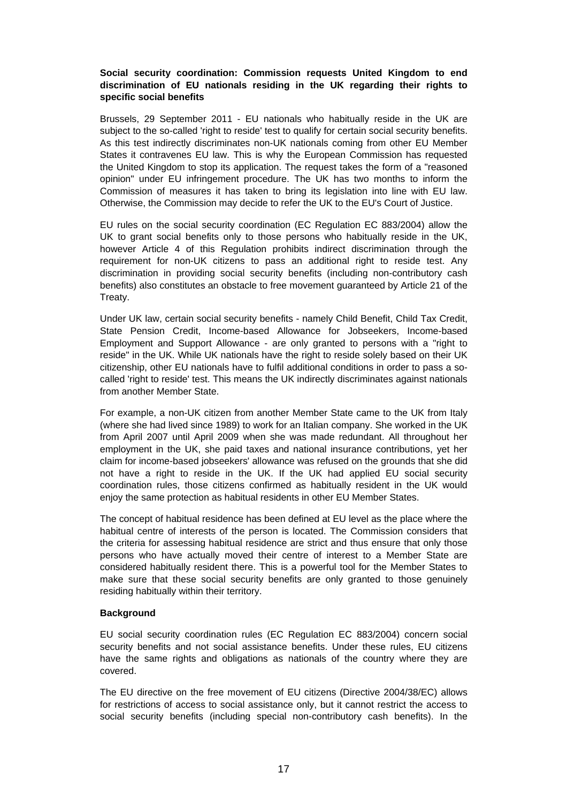#### **Social security coordination: Commission requests United Kingdom to end discrimination of EU nationals residing in the UK regarding their rights to specific social benefits**

Brussels, 29 September 2011 - EU nationals who habitually reside in the UK are subject to the so-called 'right to reside' test to qualify for certain social security benefits. As this test indirectly discriminates non-UK nationals coming from other EU Member States it contravenes EU law. This is why the European Commission has requested the United Kingdom to stop its application. The request takes the form of a "reasoned opinion" under EU infringement procedure. The UK has two months to inform the Commission of measures it has taken to bring its legislation into line with EU law. Otherwise, the Commission may decide to refer the UK to the EU's Court of Justice.

EU rules on the social security coordination (EC Regulation EC 883/2004) allow the UK to grant social benefits only to those persons who habitually reside in the UK, however Article 4 of this Regulation prohibits indirect discrimination through the requirement for non-UK citizens to pass an additional right to reside test. Any discrimination in providing social security benefits (including non-contributory cash benefits) also constitutes an obstacle to free movement guaranteed by Article 21 of the Treaty.

Under UK law, certain social security benefits - namely Child Benefit, Child Tax Credit, State Pension Credit, Income-based Allowance for Jobseekers, Income-based Employment and Support Allowance - are only granted to persons with a "right to reside" in the UK. While UK nationals have the right to reside solely based on their UK citizenship, other EU nationals have to fulfil additional conditions in order to pass a socalled 'right to reside' test. This means the UK indirectly discriminates against nationals from another Member State.

For example, a non-UK citizen from another Member State came to the UK from Italy (where she had lived since 1989) to work for an Italian company. She worked in the UK from April 2007 until April 2009 when she was made redundant. All throughout her employment in the UK, she paid taxes and national insurance contributions, yet her claim for income-based jobseekers' allowance was refused on the grounds that she did not have a right to reside in the UK. If the UK had applied EU social security coordination rules, those citizens confirmed as habitually resident in the UK would enjoy the same protection as habitual residents in other EU Member States.

The concept of habitual residence has been defined at EU level as the place where the habitual centre of interests of the person is located. The Commission considers that the criteria for assessing habitual residence are strict and thus ensure that only those persons who have actually moved their centre of interest to a Member State are considered habitually resident there. This is a powerful tool for the Member States to make sure that these social security benefits are only granted to those genuinely residing habitually within their territory.

#### **Background**

EU social security coordination rules (EC Regulation EC 883/2004) concern social security benefits and not social assistance benefits. Under these rules, EU citizens have the same rights and obligations as nationals of the country where they are covered.

The EU directive on the free movement of EU citizens (Directive 2004/38/EC) allows for restrictions of access to social assistance only, but it cannot restrict the access to social security benefits (including special non-contributory cash benefits). In the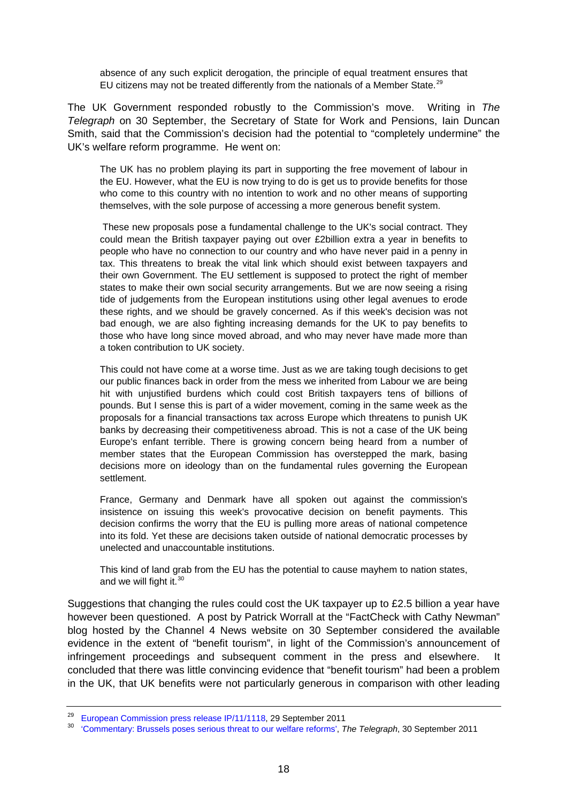absence of any such explicit derogation, the principle of equal treatment ensures that EU citizens may not be treated differently from the nationals of a Member State.<sup>[29](#page-17-0)</sup>

The UK Government responded robustly to the Commission's move. Writing in *The Telegraph* on 30 September, the Secretary of State for Work and Pensions, Iain Duncan Smith, said that the Commission's decision had the potential to "completely undermine" the UK's welfare reform programme. He went on:

The UK has no problem playing its part in supporting the free movement of labour in the EU. However, what the EU is now trying to do is get us to provide benefits for those who come to this country with no intention to work and no other means of supporting themselves, with the sole purpose of accessing a more generous benefit system.

 These new proposals pose a fundamental challenge to the UK's social contract. They could mean the British taxpayer paying out over £2billion extra a year in benefits to people who have no connection to our country and who have never paid in a penny in tax. This threatens to break the vital link which should exist between taxpayers and their own Government. The EU settlement is supposed to protect the right of member states to make their own social security arrangements. But we are now seeing a rising tide of judgements from the European institutions using other legal avenues to erode these rights, and we should be gravely concerned. As if this week's decision was not bad enough, we are also fighting increasing demands for the UK to pay benefits to those who have long since moved abroad, and who may never have made more than a token contribution to UK society.

This could not have come at a worse time. Just as we are taking tough decisions to get our public finances back in order from the mess we inherited from Labour we are being hit with unjustified burdens which could cost British taxpayers tens of billions of pounds. But I sense this is part of a wider movement, coming in the same week as the proposals for a financial transactions tax across Europe which threatens to punish UK banks by decreasing their competitiveness abroad. This is not a case of the UK being Europe's enfant terrible. There is growing concern being heard from a number of member states that the European Commission has overstepped the mark, basing decisions more on ideology than on the fundamental rules governing the European settlement.

France, Germany and Denmark have all spoken out against the commission's insistence on issuing this week's provocative decision on benefit payments. This decision confirms the worry that the EU is pulling more areas of national competence into its fold. Yet these are decisions taken outside of national democratic processes by unelected and unaccountable institutions.

This kind of land grab from the EU has the potential to cause mayhem to nation states, and we will fight it.  $30$ 

Suggestions that changing the rules could cost the UK taxpayer up to £2.5 billion a year have however been questioned. A post by Patrick Worrall at the "FactCheck with Cathy Newman" blog hosted by the Channel 4 News website on 30 September considered the available evidence in the extent of "benefit tourism", in light of the Commission's announcement of infringement proceedings and subsequent comment in the press and elsewhere. concluded that there was little convincing evidence that "benefit tourism" had been a problem in the UK, that UK benefits were not particularly generous in comparison with other leading

<span id="page-17-1"></span><span id="page-17-0"></span><sup>&</sup>lt;sup>29</sup> [European Commission press release IP/11/1118,](http://europa.eu/rapid/pressReleasesAction.do?reference=IP/11/1118&format=HTML&aged=0&language=EN) 29 September 2011<br><sup>30</sup> ['Commentary: Brussels poses serious threat to our welfare reforms',](http://www.telegraph.co.uk/news/uknews/immigration/8798443/Brussels-poses-serious-threat-to-our-welfare-reforms.html) *The Telegraph*, 30 September 2011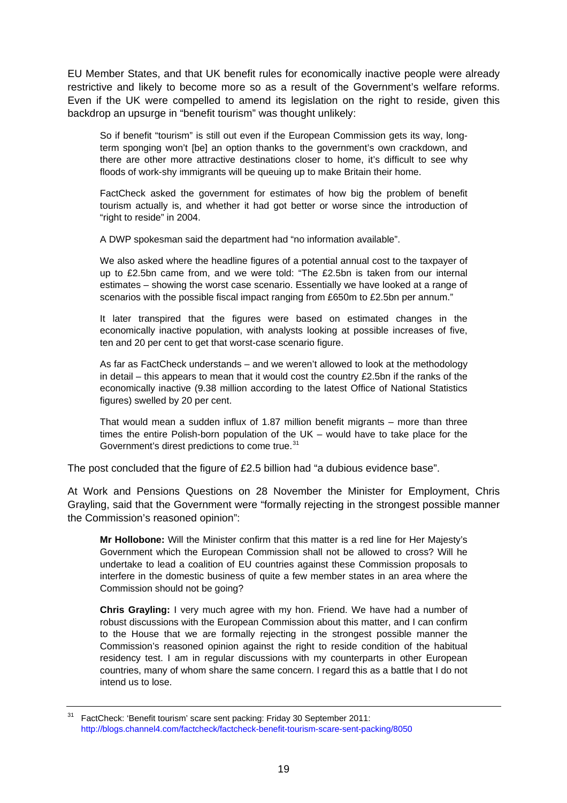EU Member States, and that UK benefit rules for economically inactive people were already restrictive and likely to become more so as a result of the Government's welfare reforms. Even if the UK were compelled to amend its legislation on the right to reside, given this backdrop an upsurge in "benefit tourism" was thought unlikely:

So if benefit "tourism" is still out even if the European Commission gets its way, longterm sponging won't [be] an option thanks to the government's own crackdown, and there are other more attractive destinations closer to home, it's difficult to see why floods of work-shy immigrants will be queuing up to make Britain their home.

FactCheck asked the government for estimates of how big the problem of benefit tourism actually is, and whether it had got better or worse since the introduction of "right to reside" in 2004.

A DWP spokesman said the department had "no information available".

We also asked where the headline figures of a potential annual cost to the taxpayer of up to £2.5bn came from, and we were told: "The £2.5bn is taken from our internal estimates – showing the worst case scenario. Essentially we have looked at a range of scenarios with the possible fiscal impact ranging from £650m to £2.5bn per annum."

It later transpired that the figures were based on estimated changes in the economically inactive population, with analysts looking at possible increases of five, ten and 20 per cent to get that worst-case scenario figure.

As far as FactCheck understands – and we weren't allowed to look at the methodology in detail – this appears to mean that it would cost the country  $£2.5$ bn if the ranks of the economically inactive (9.38 million according to the latest Office of National Statistics figures) swelled by 20 per cent.

That would mean a sudden influx of 1.87 million benefit migrants – more than three times the entire Polish-born population of the UK – would have to take place for the Government's direst predictions to come true.<sup>[31](#page-18-0)</sup>

The post concluded that the figure of £2.5 billion had "a dubious evidence base".

At Work and Pensions Questions on 28 November the Minister for Employment, Chris Grayling, said that the Government were "formally rejecting in the strongest possible manner the Commission's reasoned opinion":

**Mr Hollobone:** Will the Minister confirm that this matter is a red line for Her Majesty's Government which the European Commission shall not be allowed to cross? Will he undertake to lead a coalition of EU countries against these Commission proposals to interfere in the domestic business of quite a few member states in an area where the Commission should not be going?

**Chris Grayling:** I very much agree with my hon. Friend. We have had a number of robust discussions with the European Commission about this matter, and I can confirm to the House that we are formally rejecting in the strongest possible manner the Commission's reasoned opinion against the right to reside condition of the habitual residency test. I am in regular discussions with my counterparts in other European countries, many of whom share the same concern. I regard this as a battle that I do not intend us to lose.

<span id="page-18-0"></span><sup>31</sup> FactCheck: 'Benefit tourism' scare sent packing: Friday 30 September 2011: <http://blogs.channel4.com/factcheck/factcheck-benefit-tourism-scare-sent-packing/8050>